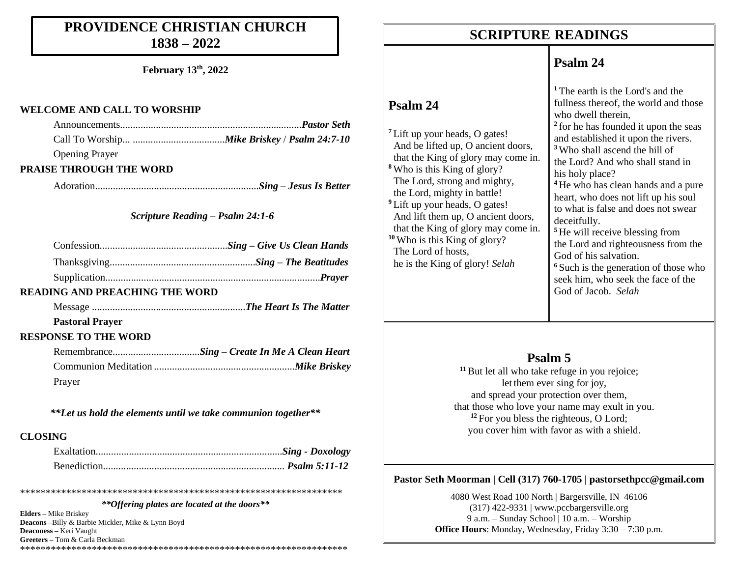### **PROVIDENCE CHRISTIAN CHURCH 1838 – 2022**

**February 13th, 2022**

#### **WELCOME AND CALL TO WORSHIP**

| <b>Opening Prayer</b> |  |
|-----------------------|--|

#### **PRAISE THROUGH THE WORD**

Adoration................................................................*Sing – Jesus Is Better*

#### *Scripture Reading – Psalm 24:1-6*

| <b>READING AND PREACHING THE WORD</b> |  |
|---------------------------------------|--|

Message ............................................................*The Heart Is The Matter*

#### **Pastoral Prayer**

#### **RESPONSE TO THE WORD**

|        | RemembranceSing - Create In Me A Clean Heart |
|--------|----------------------------------------------|
|        |                                              |
| Prayer |                                              |

*\*\*Let us hold the elements until we take communion together\*\**

#### **CLOSING**

\*\*\*\*\*\*\*\*\*\*\*\*\*\*\*\*\*\*\*\*\*\*\*\*\*\*\*\*\*\*\*\*\*\*\*\*\*\*\*\*\*\*\*\*\*\*\*\*\*\*\*\*\*\*\*\*\*\*\*\*\*\*\* *\*\*Offering plates are located at the doors\*\**

**Elders –** Mike Briskey **Deacons –**Billy & Barbie Mickler, Mike & Lynn Boyd **Deaconess –** Keri Vaught **Greeters –** Tom & Carla Beckman \*\*\*\*\*\*\*\*\*\*\*\*\*\*\*\*\*\*\*\*\*\*\*\*\*\*\*\*\*\*\*\*\*\*\*\*\*\*\*\*\*\*\*\*\*\*\*\*\*\*\*\*\*\*\*\*\*\*\*\*\*\*\*\*

### **SCRIPTURE READINGS SCRIPTURE READINGS**

### **Psalm 24**

|                                                                                                                                                                                                                                                                                                                                                                                                                                                       | <sup>1</sup> The earth is the Lord's and the                                                                                                                                                                                                                                                                                                                                                                                                                                                                                                                                |
|-------------------------------------------------------------------------------------------------------------------------------------------------------------------------------------------------------------------------------------------------------------------------------------------------------------------------------------------------------------------------------------------------------------------------------------------------------|-----------------------------------------------------------------------------------------------------------------------------------------------------------------------------------------------------------------------------------------------------------------------------------------------------------------------------------------------------------------------------------------------------------------------------------------------------------------------------------------------------------------------------------------------------------------------------|
| Psalm 24                                                                                                                                                                                                                                                                                                                                                                                                                                              | fullness thereof, the world and those                                                                                                                                                                                                                                                                                                                                                                                                                                                                                                                                       |
|                                                                                                                                                                                                                                                                                                                                                                                                                                                       | who dwell therein,                                                                                                                                                                                                                                                                                                                                                                                                                                                                                                                                                          |
| <sup>7</sup> Lift up your heads, O gates!<br>And be lifted up, O ancient doors,<br>that the King of glory may come in.<br><sup>8</sup> Who is this King of glory?<br>The Lord, strong and mighty,<br>the Lord, mighty in battle!<br><sup>9</sup> Lift up your heads, O gates!<br>And lift them up, O ancient doors,<br>that the King of glory may come in.<br>$10$ Who is this King of glory?<br>The Lord of hosts,<br>he is the King of glory! Selah | <sup>2</sup> for he has founded it upon the seas<br>and established it upon the rivers.<br><sup>3</sup> Who shall ascend the hill of<br>the Lord? And who shall stand in<br>his holy place?<br><sup>4</sup> He who has clean hands and a pure<br>heart, who does not lift up his soul<br>to what is false and does not swear<br>deceitfully.<br><sup>5</sup> He will receive blessing from<br>the Lord and righteousness from the<br>God of his salvation.<br><sup>6</sup> Such is the generation of those who<br>seek him, who seek the face of the<br>God of Jacob. Selah |

### **Psalm 5**

<sup>11</sup> But let all who take refuge in you rejoice; let them ever sing for joy, and spread your protection over them, that those who love your name may exult in you. <sup>12</sup> For you bless the righteous, O Lord; you cover him with favor as with a shield.

#### **Pastor Seth Moorman | Cell (317) 760-1705 | pastorsethpcc@gmail.com**

4080 West Road 100 North | Bargersville, IN 46106 (317) 422-9331 | www.pccbargersville.org 9 a.m. – Sunday School | 10 a.m. – Worship **Office Hours**: Monday, Wednesday, Friday 3:30 – 7:30 p.m.